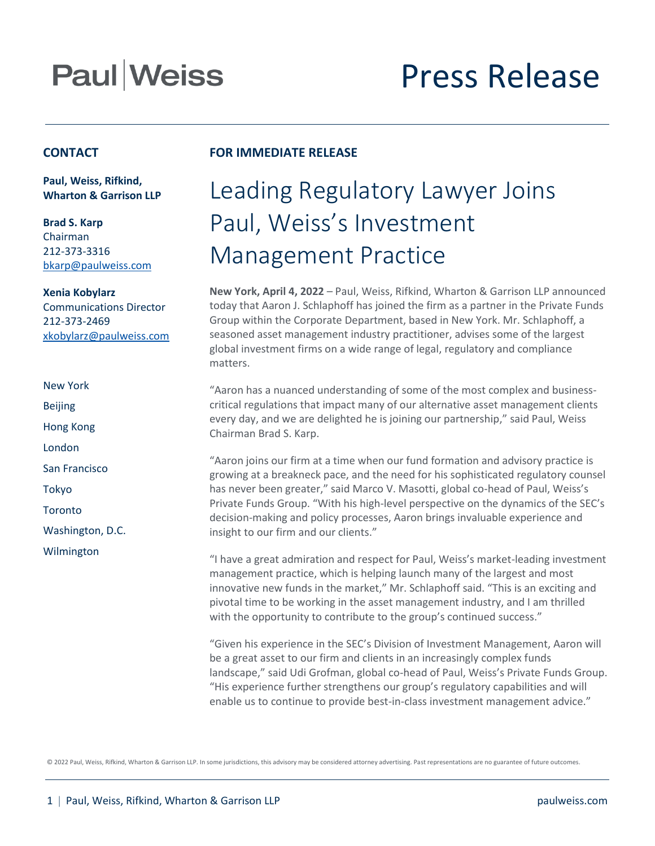# **Paul Weiss**

# Press Release

#### **CONTACT**

**Paul, Weiss, Rifkind, Wharton & Garrison LLP**

**Brad S. Karp** Chairman 212-373-3316 [bkarp@paulweiss.com](mailto:bkarp@paulweiss.com)

**Xenia Kobylarz** Communications Director 212-373-2469 [xkobylarz@paulweiss.com](mailto:xkobylarz@paulweiss.com)

New York Beijing Hong Kong London San Francisco Tokyo **Toronto** Washington, D.C. Wilmington

### **FOR IMMEDIATE RELEASE**

### Leading Regulatory Lawyer Joins Paul, Weiss's Investment Management Practice

**New York, April 4, 2022** – Paul, Weiss, Rifkind, Wharton & Garrison LLP announced today that Aaron J. Schlaphoff has joined the firm as a partner in the Private Funds Group within the Corporate Department, based in New York. Mr. Schlaphoff, a seasoned asset management industry practitioner, advises some of the largest global investment firms on a wide range of legal, regulatory and compliance matters.

"Aaron has a nuanced understanding of some of the most complex and businesscritical regulations that impact many of our alternative asset management clients every day, and we are delighted he is joining our partnership," said Paul, Weiss Chairman Brad S. Karp.

"Aaron joins our firm at a time when our fund formation and advisory practice is growing at a breakneck pace, and the need for his sophisticated regulatory counsel has never been greater," said Marco V. Masotti, global co-head of Paul, Weiss's Private Funds Group. "With his high-level perspective on the dynamics of the SEC's decision-making and policy processes, Aaron brings invaluable experience and insight to our firm and our clients."

"I have a great admiration and respect for Paul, Weiss's market-leading investment management practice, which is helping launch many of the largest and most innovative new funds in the market," Mr. Schlaphoff said. "This is an exciting and pivotal time to be working in the asset management industry, and I am thrilled with the opportunity to contribute to the group's continued success."

"Given his experience in the SEC's Division of Investment Management, Aaron will be a great asset to our firm and clients in an increasingly complex funds landscape," said Udi Grofman, global co-head of Paul, Weiss's Private Funds Group. "His experience further strengthens our group's regulatory capabilities and will enable us to continue to provide best-in-class investment management advice."

© 2022 Paul, Weiss, Rifkind, Wharton & Garrison LLP. In some jurisdictions, this advisory may be considered attorney advertising. Past representations are no guarantee of future outcomes.